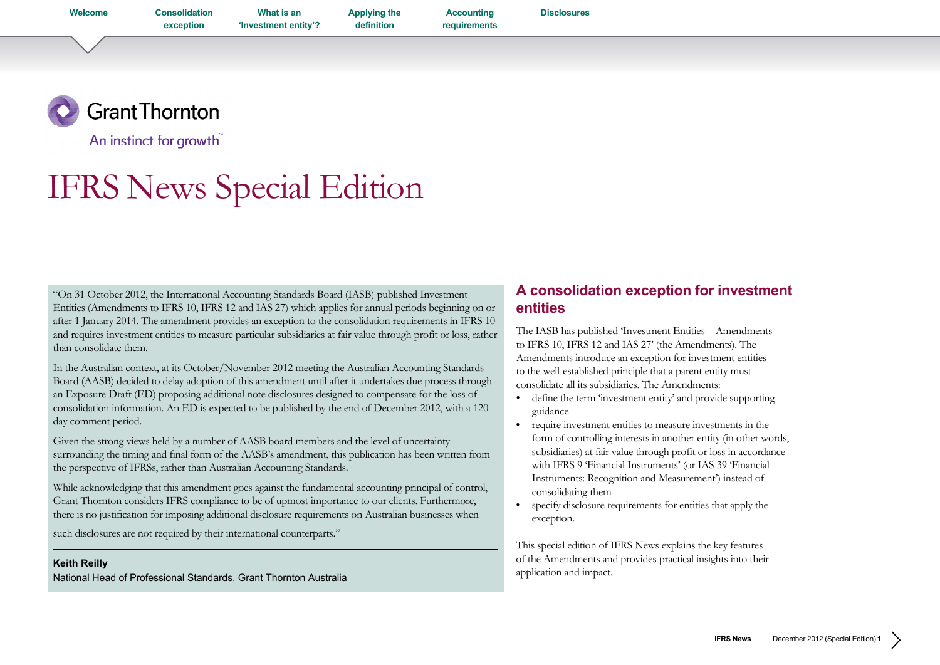<span id="page-0-0"></span>**Welcome [Consolidation](#page-1-0)** 

**exception**

**What is an ['Investment entity'?](#page-3-0)** **[Applying the](#page-4-0)  definition**

**[Disclosures](#page-16-0)**

**Accounting [requirements](#page-9-0)**

**Grant Thornton** An instinct for growth

IFRS News Special Edition

"On 31 October 2012, the International Accounting Standards Board (IASB) published Investment Entities (Amendments to IFRS 10, IFRS 12 and IAS 27) which applies for annual periods beginning on or after 1 January 2014. The amendment provides an exception to the consolidation requirements in IFRS 10 and requires investment entities to measure particular subsidiaries at fair value through profit or loss, rather than consolidate them.

In the Australian context, at its October/November 2012 meeting the Australian Accounting Standards Board (AASB) decided to delay adoption of this amendment until after it undertakes due process through an Exposure Draft (ED) proposing additional note disclosures designed to compensate for the loss of consolidation information. An ED is expected to be published by the end of December 2012, with a 120 day comment period.

Given the strong views held by a number of AASB board members and the level of uncertainty surrounding the timing and final form of the AASB's amendment, this publication has been written from the perspective of IFRSs, rather than Australian Accounting Standards.

While acknowledging that this amendment goes against the fundamental accounting principal of control, Grant Thornton considers IFRS compliance to be of upmost importance to our clients. Furthermore, there is no justification for imposing additional disclosure requirements on Australian businesses when

such disclosures are not required by their international counterparts."

## **Keith Reilly**

National Head of Professional Standards, Grant Thornton Australia

## **A consolidation exception for investment entities**

The IASB has published 'Investment Entities – Amendments to IFRS 10, IFRS 12 and IAS 27' (the Amendments). The Amendments introduce an exception for investment entities to the well-established principle that a parent entity must consolidate all its subsidiaries. The Amendments:

- define the term 'investment entity' and provide supporting guidance
- • require investment entities to measure investments in the form of controlling interests in another entity (in other words, subsidiaries) at fair value through profit or loss in accordance with IFRS 9 'Financial Instruments' (or IAS 39 'Financial Instruments: Recognition and Measurement') instead of consolidating them
- specify disclosure requirements for entities that apply the exception.

This special edition of IFRS News explains the key features of the Amendments and provides practical insights into their application and impact.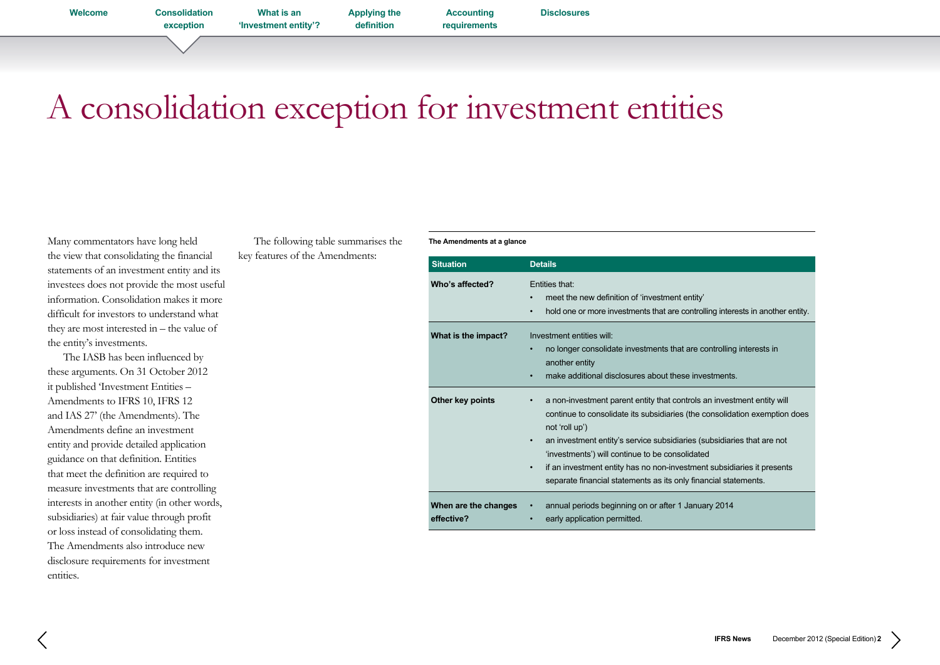**Accounting [requirements](#page-9-0) [Disclosures](#page-16-0)**

# <span id="page-1-0"></span>A consolidation exception for investment entities

Many commentators have long held the view that consolidating the financial statements of an investment entity and its investees does not provide the most useful information. Consolidation makes it more difficult for investors to understand what they are most interested in – the value of the entity's investments.

The IASB has been influenced by these arguments. On 31 October 2012 it published 'Investment Entities – Amendments to IFRS 10, IFRS 12 and IAS 27' (the Amendments). The Amendments define an investment entity and provide detailed application guidance on that definition. Entities that meet the definition are required to measure investments that are controlling interests in another entity (in other words, subsidiaries) at fair value through profit or loss instead of consolidating them. The Amendments also introduce new disclosure requirements for investment entities.

The following table summarises the key features of the Amendments:

**The Amendments at a glance**

| <b>Situation</b>                   | <b>Details</b>                                                                                                                                                                                                                                                                                                                                                                                                                                                                  |
|------------------------------------|---------------------------------------------------------------------------------------------------------------------------------------------------------------------------------------------------------------------------------------------------------------------------------------------------------------------------------------------------------------------------------------------------------------------------------------------------------------------------------|
| Who's affected?                    | Fntities that:<br>meet the new definition of 'investment entity'<br>$\bullet$<br>hold one or more investments that are controlling interests in another entity.<br>$\bullet$                                                                                                                                                                                                                                                                                                    |
| What is the impact?                | Investment entities will<br>no longer consolidate investments that are controlling interests in<br>another entity<br>make additional disclosures about these investments.<br>$\bullet$                                                                                                                                                                                                                                                                                          |
| Other key points                   | a non-investment parent entity that controls an investment entity will<br>٠<br>continue to consolidate its subsidiaries (the consolidation exemption does<br>not 'roll up')<br>an investment entity's service subsidiaries (subsidiaries that are not<br>$\bullet$<br>'investments') will continue to be consolidated<br>if an investment entity has no non-investment subsidiaries it presents<br>$\bullet$<br>separate financial statements as its only financial statements. |
| When are the changes<br>effective? | annual periods beginning on or after 1 January 2014<br>early application permitted.<br>٠                                                                                                                                                                                                                                                                                                                                                                                        |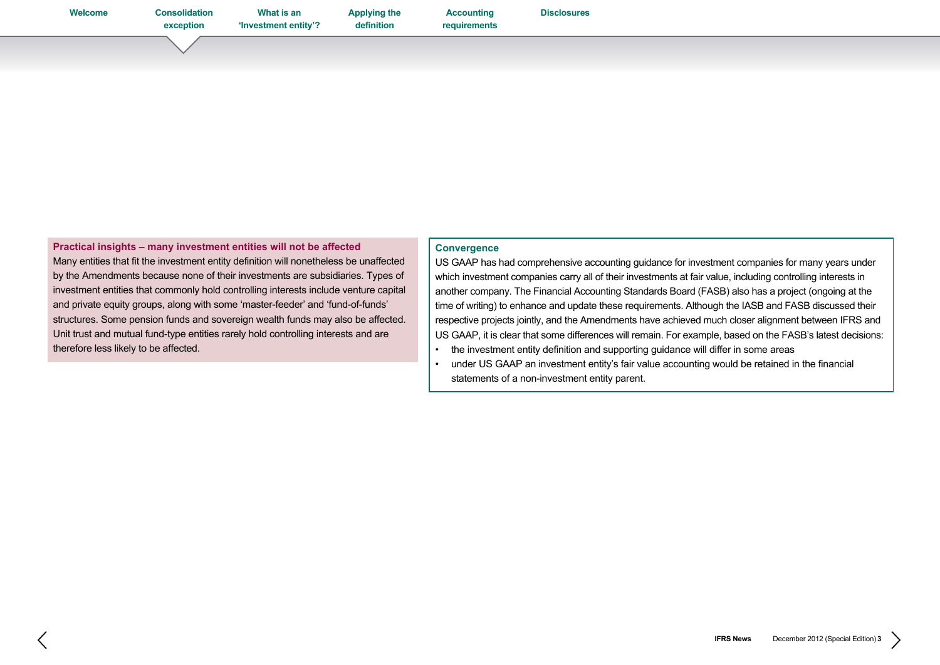**[Applying the](#page-4-0)  definition**

**[Disclosures](#page-16-0)**

**Practical insights – many investment entities will not be affected**  Many entities that fit the investment entity definition will nonetheless be unaffected by the Amendments because none of their investments are subsidiaries. Types of investment entities that commonly hold controlling interests include venture capital and private equity groups, along with some 'master-feeder' and 'fund-of-funds' structures. Some pension funds and sovereign wealth funds may also be affected. Unit trust and mutual fund-type entities rarely hold controlling interests and are therefore less likely to be affected.

## **Convergence**

**Accounting [requirements](#page-9-0)**

US GAAP has had comprehensive accounting guidance for investment companies for many years under which investment companies carry all of their investments at fair value, including controlling interests in another company. The Financial Accounting Standards Board (FASB) also has a project (ongoing at the time of writing) to enhance and update these requirements. Although the IASB and FASB discussed their respective projects jointly, and the Amendments have achieved much closer alignment between IFRS and US GAAP, it is clear that some differences will remain. For example, based on the FASB's latest decisions:

- the investment entity definition and supporting guidance will differ in some areas
- • under US GAAP an investment entity's fair value accounting would be retained in the financial statements of a non-investment entity parent.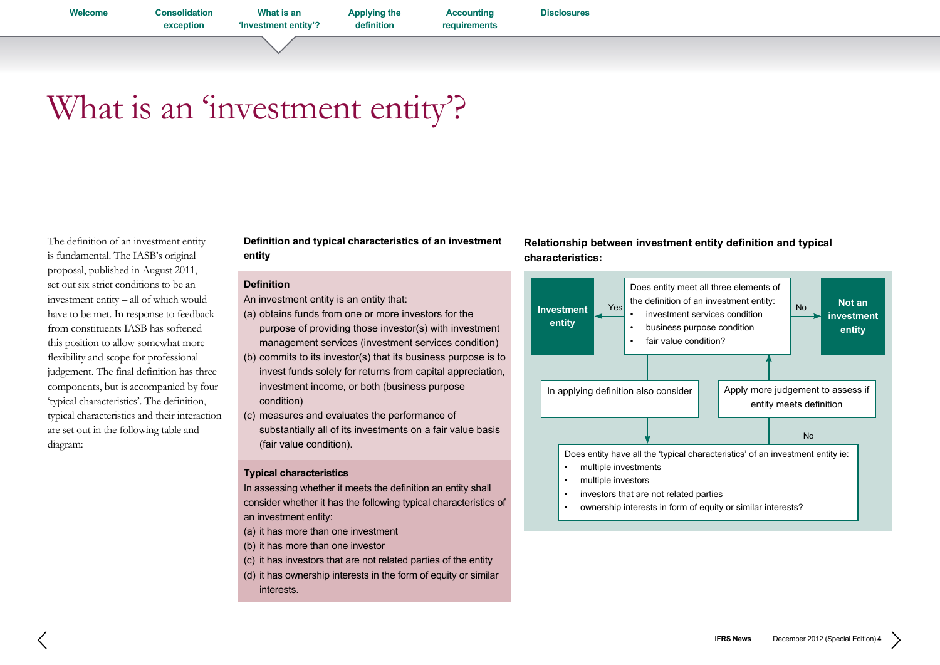**exception What is an 'Investment entity'?** **[Applying the](#page-4-0)  definition**

**Accounting [requirements](#page-9-0) [Disclosures](#page-16-0)**

## <span id="page-3-0"></span>What is an 'investment entity'?

The definition of an investment entity is fundamental. The IASB's original proposal, published in August 2011, set out six strict conditions to be an investment entity – all of which would have to be met. In response to feedback from constituents IASB has softened this position to allow somewhat more flexibility and scope for professional judgement. The final definition has three components, but is accompanied by four 'typical characteristics'. The definition, typical characteristics and their interaction are set out in the following table and diagram:

**Definition and typical characteristics of an investment entity** 

## **Definition**

An investment entity is an entity that:

- (a) obtains funds from one or more investors for the
- purpose of providing those investor(s) with investment management services (investment services condition)
- (b) commits to its investor(s) that its business purpose is to invest funds solely for returns from capital appreciation, investment income, or both (business purpose condition)
- (c) measures and evaluates the performance of substantially all of its investments on a fair value basis (fair value condition).

## **Typical characteristics**

In assessing whether it meets the definition an entity shall consider whether it has the following typical characteristics of an investment entity:

- (a) it has more than one investment
- (b) it has more than one investor
- (c) it has investors that are not related parties of the entity
- (d) it has ownership interests in the form of equity or similar interests.





ownership interests in form of equity or similar interests?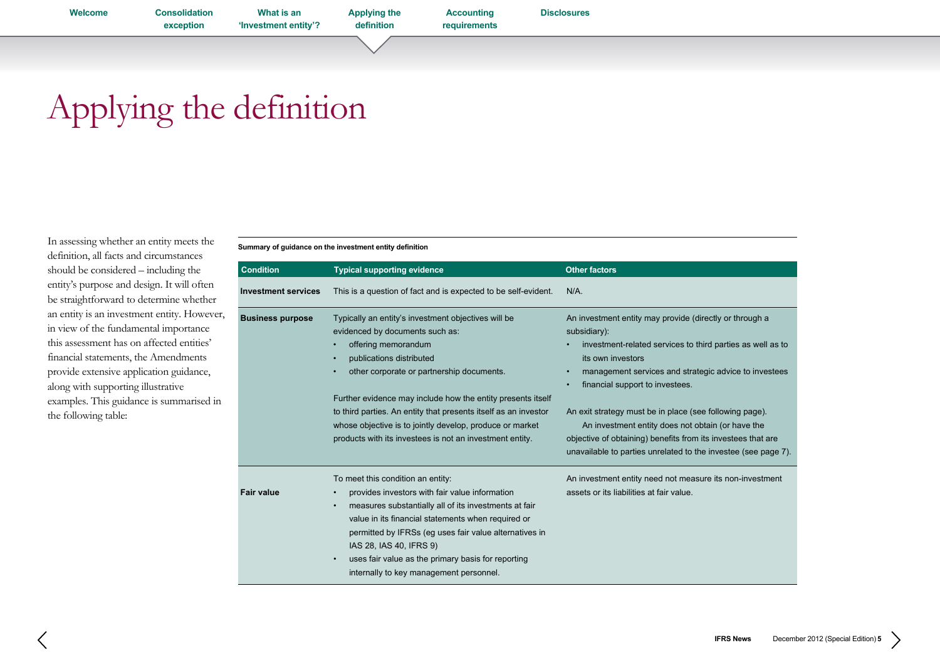**[Disclosures](#page-16-0)**

**Accounting [requirements](#page-9-0)**

# <span id="page-4-0"></span>Applying the definition

In assessing whether an entity meets the definition, all facts and circumstances should be considered – including the entity's purpose and design. It will often be straightforward to determine whether an entity is an investment entity. However, in view of the fundamental importance this assessment has on affected entities' financial statements, the Amendments provide extensive application guidance, along with supporting illustrative examples. This guidance is summarised in the following table:

**Summary of guidance on the investment entity definition**

| <b>Condition</b>           | <b>Typical supporting evidence</b>                                                                                                                                                                                                                                                                                                                                                                                                                                         | <b>Other factors</b>                                                                                                                                                                                                                                                                                                                                                                                                                                                                                                               |
|----------------------------|----------------------------------------------------------------------------------------------------------------------------------------------------------------------------------------------------------------------------------------------------------------------------------------------------------------------------------------------------------------------------------------------------------------------------------------------------------------------------|------------------------------------------------------------------------------------------------------------------------------------------------------------------------------------------------------------------------------------------------------------------------------------------------------------------------------------------------------------------------------------------------------------------------------------------------------------------------------------------------------------------------------------|
| <b>Investment services</b> | This is a question of fact and is expected to be self-evident.                                                                                                                                                                                                                                                                                                                                                                                                             | $N/A$ .                                                                                                                                                                                                                                                                                                                                                                                                                                                                                                                            |
| <b>Business purpose</b>    | Typically an entity's investment objectives will be<br>evidenced by documents such as:<br>offering memorandum<br>publications distributed<br>$\bullet$<br>other corporate or partnership documents.<br>$\bullet$<br>Further evidence may include how the entity presents itself<br>to third parties. An entity that presents itself as an investor<br>whose objective is to jointly develop, produce or market<br>products with its investees is not an investment entity. | An investment entity may provide (directly or through a<br>subsidiary):<br>investment-related services to third parties as well as to<br>its own investors<br>management services and strategic advice to investees<br>$\bullet$<br>financial support to investees.<br>$\bullet$<br>An exit strategy must be in place (see following page).<br>An investment entity does not obtain (or have the<br>objective of obtaining) benefits from its investees that are<br>unavailable to parties unrelated to the investee (see page 7). |
| <b>Fair value</b>          | To meet this condition an entity:<br>provides investors with fair value information<br>$\bullet$<br>measures substantially all of its investments at fair<br>$\bullet$<br>value in its financial statements when required or<br>permitted by IFRSs (eg uses fair value alternatives in<br>IAS 28, IAS 40, IFRS 9)<br>uses fair value as the primary basis for reporting<br>$\bullet$<br>internally to key management personnel.                                            | An investment entity need not measure its non-investment<br>assets or its liabilities at fair value.                                                                                                                                                                                                                                                                                                                                                                                                                               |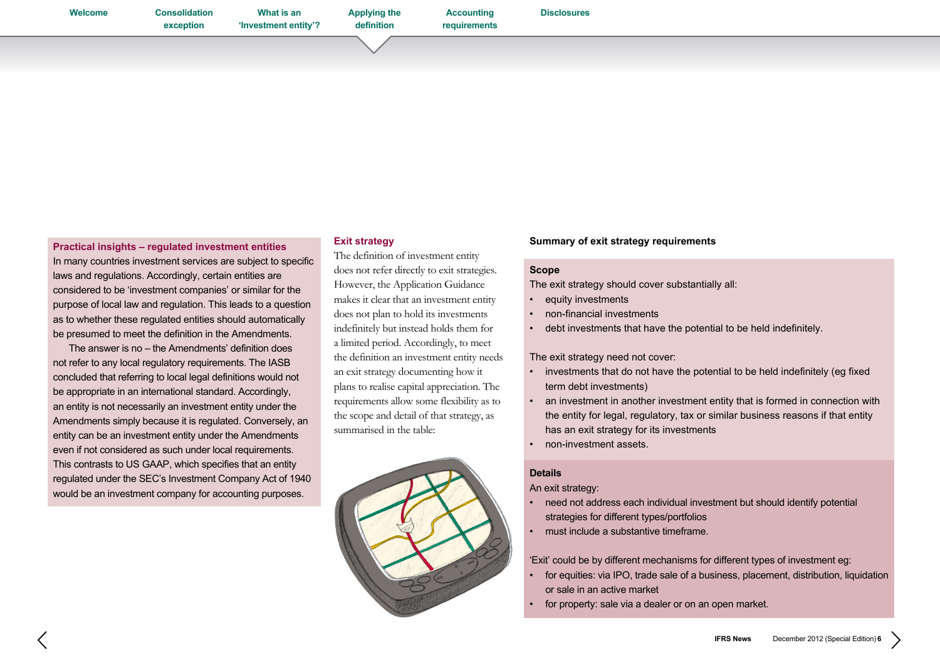**[Welcome](#page-0-0) [Consolidation](#page-1-0)** 

**[Disclosures](#page-16-0)**

**Accounting** 

**[requirements](#page-9-0)**

**Practical insights – regulated investment entities**  In many countries investment services are subject to specific laws and regulations. Accordingly, certain entities are considered to be 'investment companies' or similar for the purpose of local law and regulation. This leads to a question as to whether these regulated entities should automatically be presumed to meet the definition in the Amendments.

 The answer is no – the Amendments' definition does not refer to any local regulatory requirements. The IASB concluded that referring to local legal definitions would not be appropriate in an international standard. Accordingly, an entity is not necessarily an investment entity under the Amendments simply because it is regulated. Conversely, an entity can be an investment entity under the Amendments even if not considered as such under local requirements. This contrasts to US GAAP, which specifies that an entity regulated under the SEC's Investment Company Act of 1940 would be an investment company for accounting purposes.

## **Exit strategy**

The definition of investment entity does not refer directly to exit strategies. However, the Application Guidance makes it clear that an investment entity does not plan to hold its investments indefinitely but instead holds them for a limited period. Accordingly, to meet the definition an investment entity needs an exit strategy documenting how it plans to realise capital appreciation. The requirements allow some flexibility as to the scope and detail of that strategy, as summarised in the table:



## **Summary of exit strategy requirements**

## **Scope**

The exit strategy should cover substantially all:

- equity investments
- • non-financial investments
- debt investments that have the potential to be held indefinitely.

## The exit strategy need not cover:

- • investments that do not have the potential to be held indefinitely (eg fixed term debt investments)
- an investment in another investment entity that is formed in connection with the entity for legal, regulatory, tax or similar business reasons if that entity has an exit strategy for its investments
- non-investment assets.

## **Details**

An exit strategy:

- need not address each individual investment but should identify potential strategies for different types/portfolios
- must include a substantive timeframe.

'Exit' could be by different mechanisms for different types of investment eg:

- for equities: via IPO, trade sale of a business, placement, distribution, liquidation or sale in an active market
- for property: sale via a dealer or on an open market.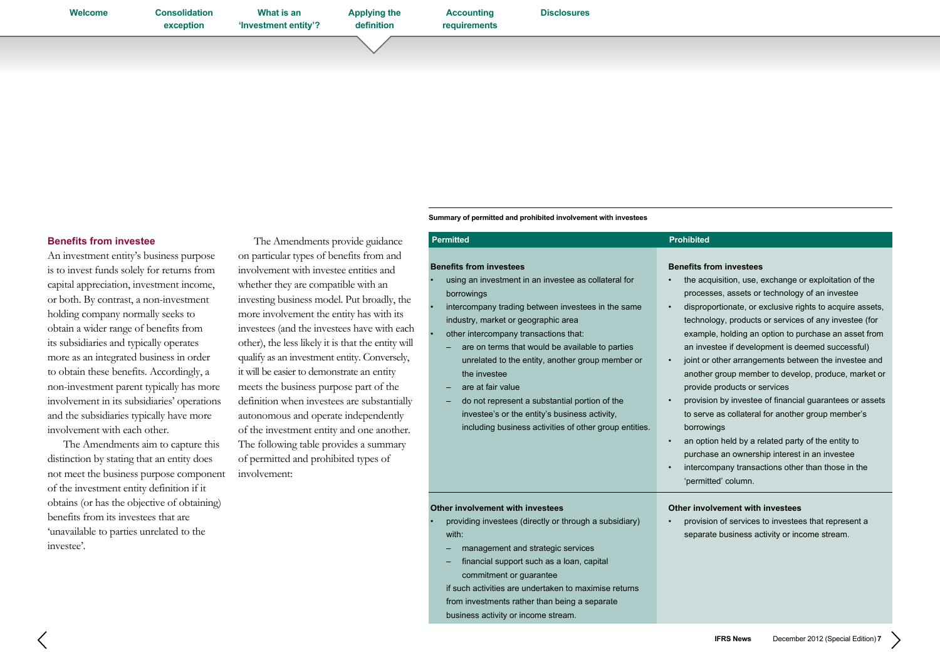**What is an ['Investment entity'?](#page-3-0)** **[Applying the](#page-4-0)  definition**

**[requirements](#page-9-0)**

**Accounting** 

## **Benefits from investee**

An investment entity's business purpose is to invest funds solely for returns from capital appreciation, investment income, or both. By contrast, a non-investment holding company normally seeks to obtain a wider range of benefits from its subsidiaries and typically operates more as an integrated business in order to obtain these benefits. Accordingly, a non-investment parent typically has more involvement in its subsidiaries' operations and the subsidiaries typically have more involvement with each other.

The Amendments aim to capture this distinction by stating that an entity does not meet the business purpose component of the investment entity definition if it obtains (or has the objective of obtaining) benefits from its investees that are 'unavailable to parties unrelated to the investee'.

The Amendments provide guidance on particular types of benefits from and involvement with investee entities and whether they are compatible with an investing business model. Put broadly, the more involvement the entity has with its investees (and the investees have with each other), the less likely it is that the entity will qualify as an investment entity. Conversely, it will be easier to demonstrate an entity meets the business purpose part of the definition when investees are substantially autonomous and operate independently of the investment entity and one another. The following table provides a summary of permitted and prohibited types of

involvement:

| <b>Permitted</b>                                                                                                                                                                                                                                                                                                                                                                                                                                                                                                                                   | <b>Prohibited</b>                                                                                                                                                                                                                                                                                                                                                                                                                                                                                                                                                                                                                                                                                                                                                                                                                                                                              |
|----------------------------------------------------------------------------------------------------------------------------------------------------------------------------------------------------------------------------------------------------------------------------------------------------------------------------------------------------------------------------------------------------------------------------------------------------------------------------------------------------------------------------------------------------|------------------------------------------------------------------------------------------------------------------------------------------------------------------------------------------------------------------------------------------------------------------------------------------------------------------------------------------------------------------------------------------------------------------------------------------------------------------------------------------------------------------------------------------------------------------------------------------------------------------------------------------------------------------------------------------------------------------------------------------------------------------------------------------------------------------------------------------------------------------------------------------------|
| <b>Benefits from investees</b><br>using an investment in an investee as collateral for<br>borrowings<br>intercompany trading between investees in the same<br>industry, market or geographic area<br>other intercompany transactions that:<br>are on terms that would be available to parties<br>unrelated to the entity, another group member or<br>the investee<br>are at fair value<br>do not represent a substantial portion of the<br>investee's or the entity's business activity,<br>including business activities of other group entities. | <b>Benefits from investees</b><br>the acquisition, use, exchange or exploitation of the<br>processes, assets or technology of an investee<br>disproportionate, or exclusive rights to acquire assets,<br>$\bullet$<br>technology, products or services of any investee (for<br>example, holding an option to purchase an asset from<br>an investee if development is deemed successful)<br>joint or other arrangements between the investee and<br>$\bullet$<br>another group member to develop, produce, market or<br>provide products or services<br>provision by investee of financial guarantees or assets<br>$\bullet$<br>to serve as collateral for another group member's<br>borrowings<br>an option held by a related party of the entity to<br>$\bullet$<br>purchase an ownership interest in an investee<br>intercompany transactions other than those in the<br>'permitted' column. |
| Other involvement with investees<br>providing investees (directly or through a subsidiary)<br>with:<br>management and strategic services<br>financial support such as a loan, capital<br>commitment or guarantee<br>if such activities are undertaken to maximise returns<br>from investments rather than being a separate<br>business activity or income stream.                                                                                                                                                                                  | Other involvement with investees<br>provision of services to investees that represent a<br>separate business activity or income stream.                                                                                                                                                                                                                                                                                                                                                                                                                                                                                                                                                                                                                                                                                                                                                        |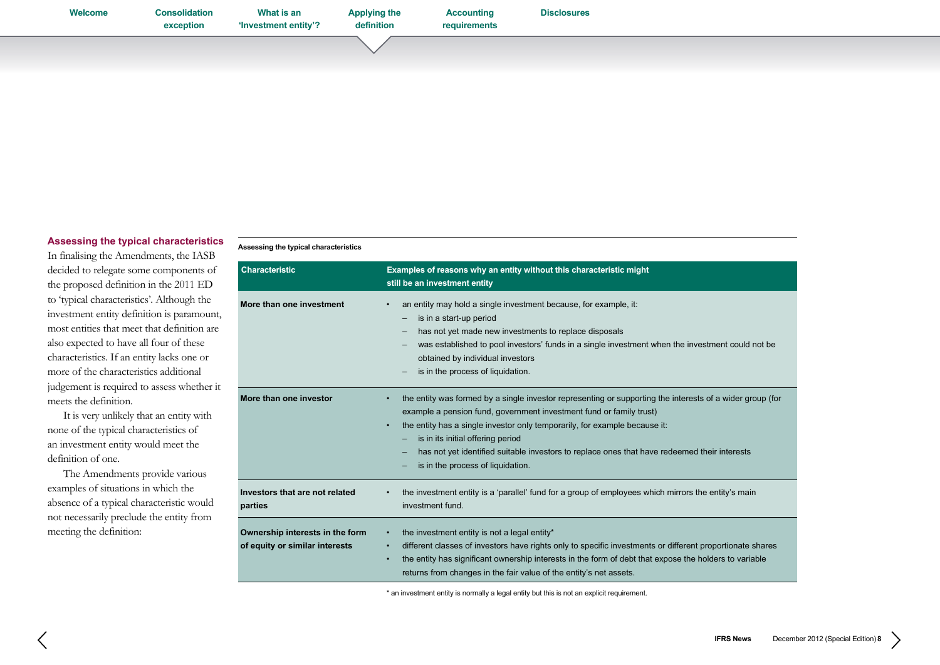| Welcome | <b>Consolidation</b><br>exception | What is an<br>'Investment entity'? | <b>Applying the</b><br>definition | <b>Accounting</b><br>requirements | <b>Disclosures</b> |  |  |
|---------|-----------------------------------|------------------------------------|-----------------------------------|-----------------------------------|--------------------|--|--|
|         |                                   |                                    |                                   |                                   |                    |  |  |

## **Assessing the typical characteristics**

In finalising the Amendments, the IASB decided to relegate some components of the proposed definition in the 2011 ED to 'typical characteristics'. Although the investment entity definition is paramount, most entities that meet that definition are also expected to have all four of these characteristics. If an entity lacks one or more of the characteristics additional judgement is required to assess whether it meets the definition.

It is very unlikely that an entity with none of the typical characteristics of an investment entity would meet the definition of one.

The Amendments provide various examples of situations in which the absence of a typical characteristic would not necessarily preclude the entity from meeting the definition:

#### **Assessing the typical characteristics**

| <b>Characteristic</b>                                             | Examples of reasons why an entity without this characteristic might<br>still be an investment entity                                                                                                                                                                                                                                                                                                                                     |
|-------------------------------------------------------------------|------------------------------------------------------------------------------------------------------------------------------------------------------------------------------------------------------------------------------------------------------------------------------------------------------------------------------------------------------------------------------------------------------------------------------------------|
| More than one investment                                          | an entity may hold a single investment because, for example, it:<br>is in a start-up period<br>has not yet made new investments to replace disposals<br>was established to pool investors' funds in a single investment when the investment could not be<br>obtained by individual investors<br>is in the process of liquidation.                                                                                                        |
| More than one investor                                            | the entity was formed by a single investor representing or supporting the interests of a wider group (for<br>example a pension fund, government investment fund or family trust)<br>the entity has a single investor only temporarily, for example because it:<br>is in its initial offering period<br>has not yet identified suitable investors to replace ones that have redeemed their interests<br>is in the process of liquidation. |
| Investors that are not related<br>parties                         | the investment entity is a 'parallel' fund for a group of employees which mirrors the entity's main<br>investment fund.                                                                                                                                                                                                                                                                                                                  |
| Ownership interests in the form<br>of equity or similar interests | the investment entity is not a legal entity*<br>different classes of investors have rights only to specific investments or different proportionate shares<br>$\bullet$<br>the entity has significant ownership interests in the form of debt that expose the holders to variable<br>returns from changes in the fair value of the entity's net assets.                                                                                   |

\* an investment entity is normally a legal entity but this is not an explicit requirement.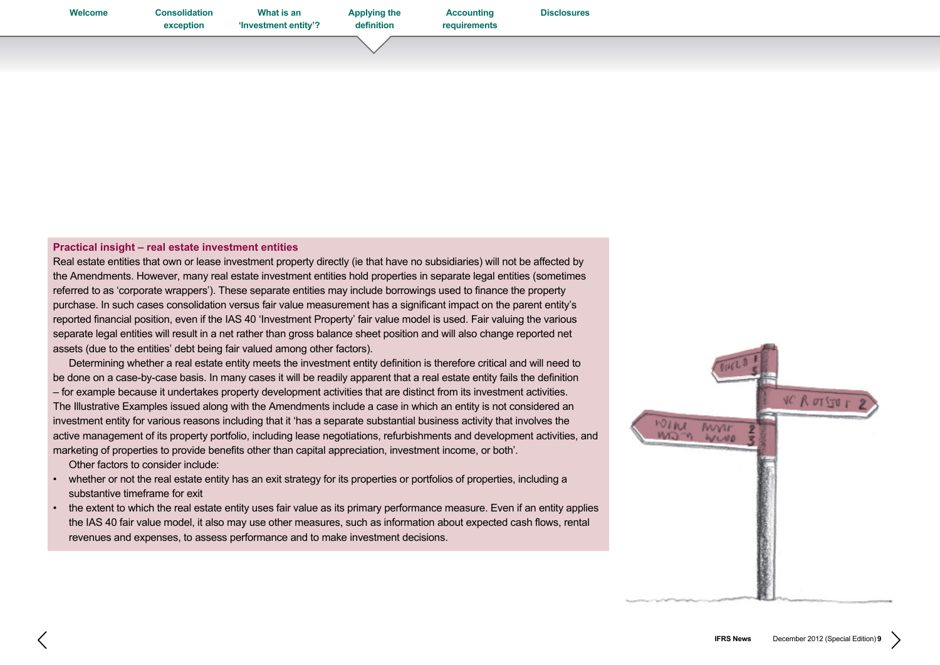**Accounting [requirements](#page-9-0)**

## **Practical insight – real estate investment entities**

Real estate entities that own or lease investment property directly (ie that have no subsidiaries) will not be affected by the Amendments. However, many real estate investment entities hold properties in separate legal entities (sometimes referred to as 'corporate wrappers'). These separate entities may include borrowings used to finance the property purchase. In such cases consolidation versus fair value measurement has a significant impact on the parent entity's reported financial position, even if the IAS 40 'Investment Property' fair value model is used. Fair valuing the various separate legal entities will result in a net rather than gross balance sheet position and will also change reported net assets (due to the entities' debt being fair valued among other factors).

 Determining whether a real estate entity meets the investment entity definition is therefore critical and will need to be done on a case-by-case basis. In many cases it will be readily apparent that a real estate entity fails the definition – for example because it undertakes property development activities that are distinct from its investment activities. The Illustrative Examples issued along with the Amendments include a case in which an entity is not considered an investment entity for various reasons including that it 'has a separate substantial business activity that involves the active management of its property portfolio, including lease negotiations, refurbishments and development activities, and marketing of properties to provide benefits other than capital appreciation, investment income, or both'.

 Other factors to consider include:

- whether or not the real estate entity has an exit strategy for its properties or portfolios of properties, including a substantive timeframe for exit
- the extent to which the real estate entity uses fair value as its primary performance measure. Even if an entity applies the IAS 40 fair value model, it also may use other measures, such as information about expected cash flows, rental revenues and expenses, to assess performance and to make investment decisions.

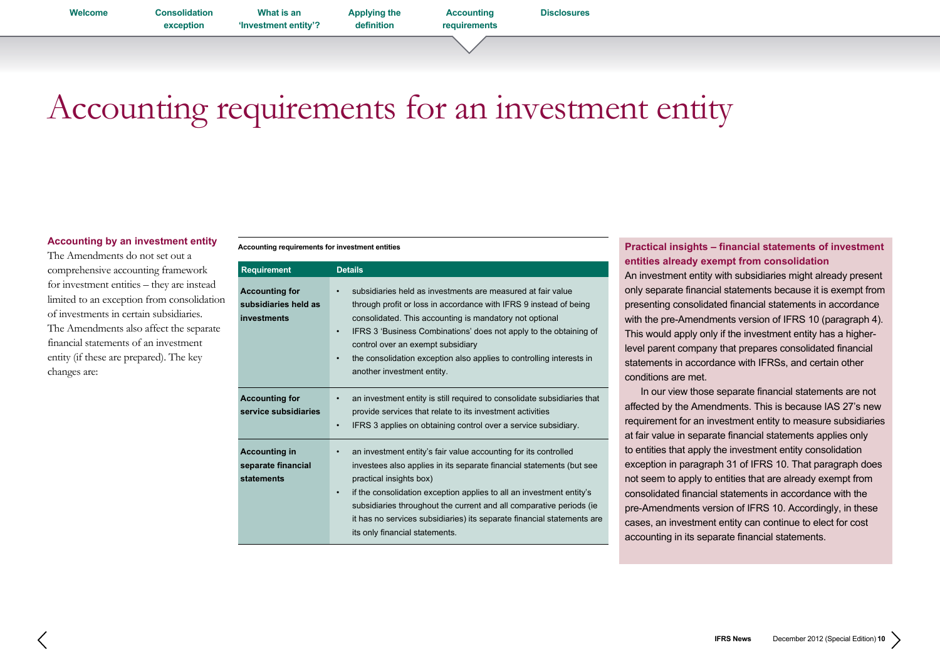**exception What is an ['Investment entity'?](#page-3-0)**

**[Applying the](#page-4-0)  definition**

**Accounting requirements**

# <span id="page-9-0"></span>Accounting requirements for an investment entity

## **Accounting by an investment entity**

The Amendments do not set out a comprehensive accounting framework for investment entities – they are instead limited to an exception from consolidation of investments in certain subsidiaries. The Amendments also affect the separate financial statements of an investment entity (if these are prepared). The key changes are:

#### **Accounting requirements for investment entities**

| <b>Requirement</b>                                           | <b>Details</b>                                                                                                                                                                                                                                                                                                                                                                                                                                          |
|--------------------------------------------------------------|---------------------------------------------------------------------------------------------------------------------------------------------------------------------------------------------------------------------------------------------------------------------------------------------------------------------------------------------------------------------------------------------------------------------------------------------------------|
| <b>Accounting for</b><br>subsidiaries held as<br>investments | subsidiaries held as investments are measured at fair value<br>$\bullet$<br>through profit or loss in accordance with IFRS 9 instead of being<br>consolidated. This accounting is mandatory not optional<br>IFRS 3 'Business Combinations' does not apply to the obtaining of<br>$\bullet$<br>control over an exempt subsidiary<br>the consolidation exception also applies to controlling interests in<br>$\bullet$<br>another investment entity.      |
| <b>Accounting for</b><br>service subsidiaries                | an investment entity is still required to consolidate subsidiaries that<br>$\bullet$<br>provide services that relate to its investment activities<br>IFRS 3 applies on obtaining control over a service subsidiary.<br>$\bullet$                                                                                                                                                                                                                        |
| <b>Accounting in</b><br>separate financial<br>statements     | an investment entity's fair value accounting for its controlled<br>$\bullet$<br>investees also applies in its separate financial statements (but see<br>practical insights box)<br>if the consolidation exception applies to all an investment entity's<br>$\bullet$<br>subsidiaries throughout the current and all comparative periods (ie<br>it has no services subsidiaries) its separate financial statements are<br>its only financial statements. |

## **Practical insights – financial statements of investment entities already exempt from consolidation**

An investment entity with subsidiaries might already present only separate financial statements because it is exempt from presenting consolidated financial statements in accordance with the pre-Amendments version of IFRS 10 (paragraph 4). This would apply only if the investment entity has a higherlevel parent company that prepares consolidated financial statements in accordance with IFRSs, and certain other conditions are met.

 In our view those separate financial statements are not affected by the Amendments. This is because IAS 27's new requirement for an investment entity to measure subsidiaries at fair value in separate financial statements applies only to entities that apply the investment entity consolidation exception in paragraph 31 of IFRS 10. That paragraph does not seem to apply to entities that are already exempt from consolidated financial statements in accordance with the pre-Amendments version of IFRS 10. Accordingly, in these cases, an investment entity can continue to elect for cost accounting in its separate financial statements.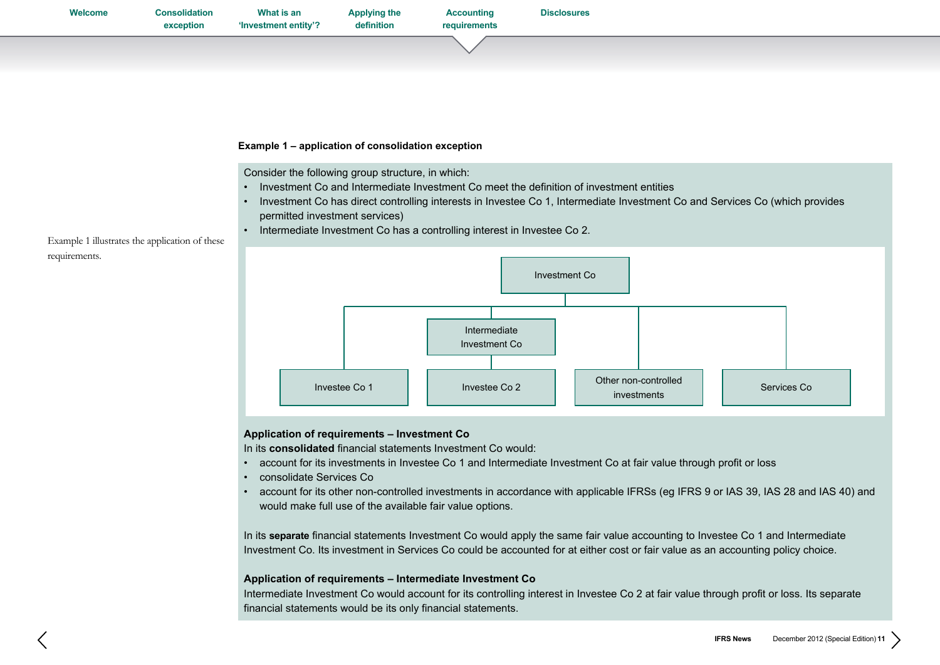| Welcome | <b>Consolidation</b><br>exception | What is an<br>'Investment entity'? | <b>Applying the</b><br>definition | <b>Accounting</b><br>requirements | <b>Disclosures</b> |  |  |
|---------|-----------------------------------|------------------------------------|-----------------------------------|-----------------------------------|--------------------|--|--|
|         |                                   |                                    |                                   |                                   |                    |  |  |
|         |                                   |                                    |                                   |                                   |                    |  |  |

## **Example 1 – application of consolidation exception**

Consider the following group structure, in which:

- • Investment Co and Intermediate Investment Co meet the definition of investment entities
- • Investment Co has direct controlling interests in Investee Co 1, Intermediate Investment Co and Services Co (which provides permitted investment services)
- Intermediate Investment Co has a controlling interest in Investee Co 2.

Example 1 illustrates the application of these requirements.



## **Application of requirements – Investment Co**

In its **consolidated** financial statements Investment Co would:

- • account for its investments in Investee Co 1 and Intermediate Investment Co at fair value through profit or loss
- • consolidate Services Co
- account for its other non-controlled investments in accordance with applicable IFRSs (eg IFRS 9 or IAS 39, IAS 28 and IAS 40) and would make full use of the available fair value options.

In its **separate** financial statements Investment Co would apply the same fair value accounting to Investee Co 1 and Intermediate Investment Co. Its investment in Services Co could be accounted for at either cost or fair value as an accounting policy choice.

## **Application of requirements – Intermediate Investment Co**

Intermediate Investment Co would account for its controlling interest in Investee Co 2 at fair value through profit or loss. Its separate financial statements would be its only financial statements.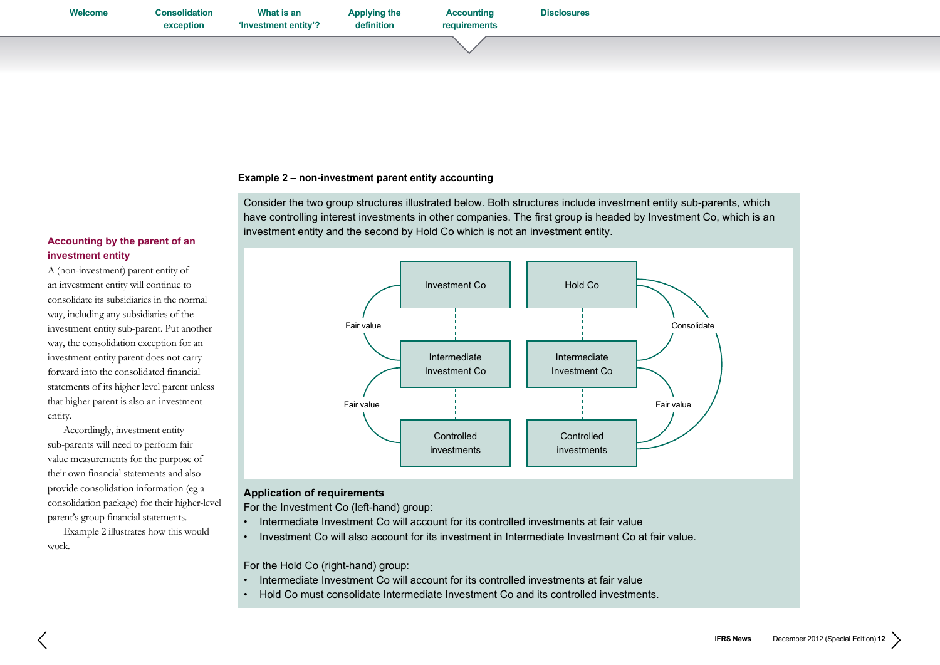## **Example 2 – non-investment parent entity accounting**

Consider the two group structures illustrated below. Both structures include investment entity sub-parents, which have controlling interest investments in other companies. The first group is headed by Investment Co, which is an investment entity and the second by Hold Co which is not an investment entity.

## **Accounting by the parent of an investment entity**

A (non-investment) parent entity of an investment entity will continue to consolidate its subsidiaries in the normal way, including any subsidiaries of the investment entity sub-parent. Put another way, the consolidation exception for an investment entity parent does not carry forward into the consolidated financial statements of its higher level parent unless that higher parent is also an investment entity.

Accordingly, investment entity sub-parents will need to perform fair value measurements for the purpose of their own financial statements and also provide consolidation information (eg a consolidation package) for their higher-level parent's group financial statements.

Example 2 illustrates how this would work.



## **Application of requirements**

For the Investment Co (left-hand) group:

- Intermediate Investment Co will account for its controlled investments at fair value
- Investment Co will also account for its investment in Intermediate Investment Co at fair value.

For the Hold Co (right-hand) group:

- Intermediate Investment Co will account for its controlled investments at fair value
- Hold Co must consolidate Intermediate Investment Co and its controlled investments.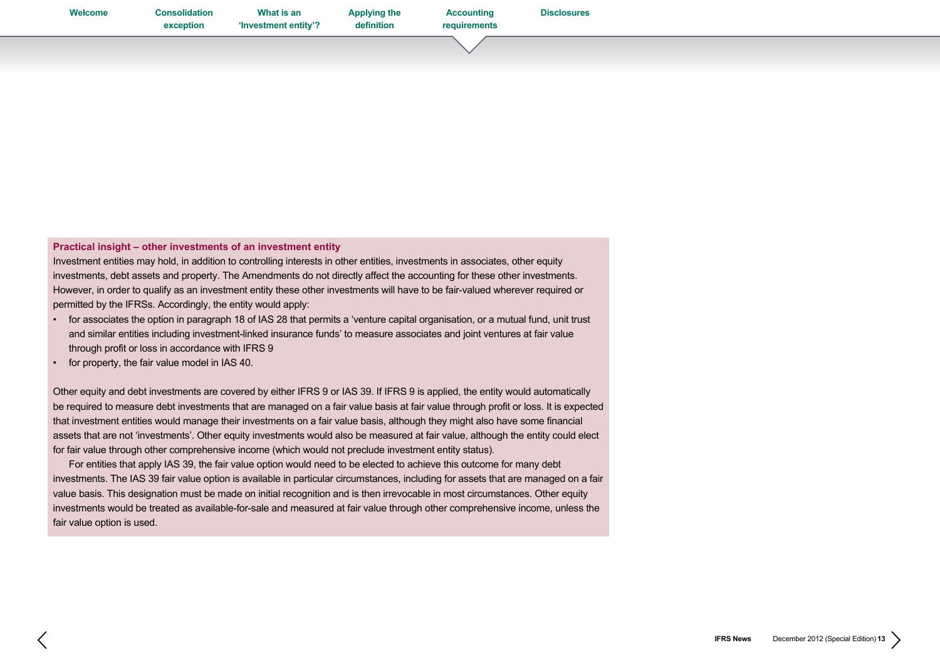**Accounting [requirements](#page-9-0)**

**[Disclosures](#page-16-0)**

## **Practical insight – other investments of an investment entity**

Investment entities may hold, in addition to controlling interests in other entities, investments in associates, other equity investments, debt assets and property. The Amendments do not directly affect the accounting for these other investments. However, in order to qualify as an investment entity these other investments will have to be fair-valued wherever required or permitted by the IFRSs. Accordingly, the entity would apply:

- • for associates the option in paragraph 18 of IAS 28 that permits a 'venture capital organisation, or a mutual fund, unit trust and similar entities including investment-linked insurance funds' to measure associates and joint ventures at fair value through profit or loss in accordance with IFRS 9
- • for property, the fair value model in IAS 40.

Other equity and debt investments are covered by either IFRS 9 or IAS 39. If IFRS 9 is applied, the entity would automatically be required to measure debt investments that are managed on a fair value basis at fair value through profit or loss. It is expected that investment entities would manage their investments on a fair value basis, although they might also have some financial assets that are not 'investments'. Other equity investments would also be measured at fair value, although the entity could elect for fair value through other comprehensive income (which would not preclude investment entity status).

 For entities that apply IAS 39, the fair value option would need to be elected to achieve this outcome for many debt investments. The IAS 39 fair value option is available in particular circumstances, including for assets that are managed on a fair value basis. This designation must be made on initial recognition and is then irrevocable in most circumstances. Other equity investments would be treated as available-for-sale and measured at fair value through other comprehensive income, unless the fair value option is used.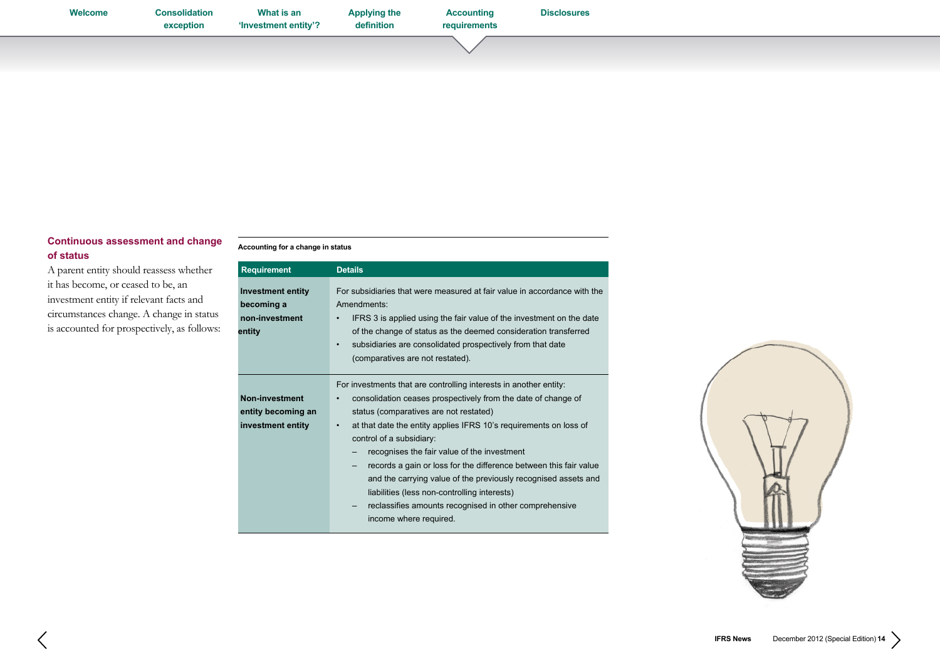| Welcome | <b>Consolidation</b><br>exception | What is an<br>'Investment entity'? | <b>Applying the</b><br>definition | <b>Accounting</b><br>requirements | <b>Disclosures</b> |  |  |
|---------|-----------------------------------|------------------------------------|-----------------------------------|-----------------------------------|--------------------|--|--|
|         |                                   |                                    |                                   |                                   |                    |  |  |

## **Continuous assessment and change of status**

A parent entity should reassess whether it has become, or ceased to be, an investment entity if relevant facts and circumstances change. A change in status is accounted for prospectively, as follows:

## **Accounting for a change in status**

| <b>Requirement</b>                                                 | <b>Details</b>                                                                                                                                                                                                                                                                                                                                                                                                                                                                                                                                                                                                                 |
|--------------------------------------------------------------------|--------------------------------------------------------------------------------------------------------------------------------------------------------------------------------------------------------------------------------------------------------------------------------------------------------------------------------------------------------------------------------------------------------------------------------------------------------------------------------------------------------------------------------------------------------------------------------------------------------------------------------|
| <b>Investment entity</b><br>becoming a<br>non-investment<br>entity | For subsidiaries that were measured at fair value in accordance with the<br>Amendments:<br>IFRS 3 is applied using the fair value of the investment on the date<br>٠<br>of the change of status as the deemed consideration transferred<br>subsidiaries are consolidated prospectively from that date<br>$\bullet$<br>(comparatives are not restated).                                                                                                                                                                                                                                                                         |
| Non-investment<br>entity becoming an<br>investment entity          | For investments that are controlling interests in another entity:<br>consolidation ceases prospectively from the date of change of<br>٠<br>status (comparatives are not restated)<br>at that date the entity applies IFRS 10's requirements on loss of<br>$\bullet$<br>control of a subsidiary:<br>recognises the fair value of the investment<br>-<br>records a gain or loss for the difference between this fair value<br>and the carrying value of the previously recognised assets and<br>liabilities (less non-controlling interests)<br>reclassifies amounts recognised in other comprehensive<br>income where required. |

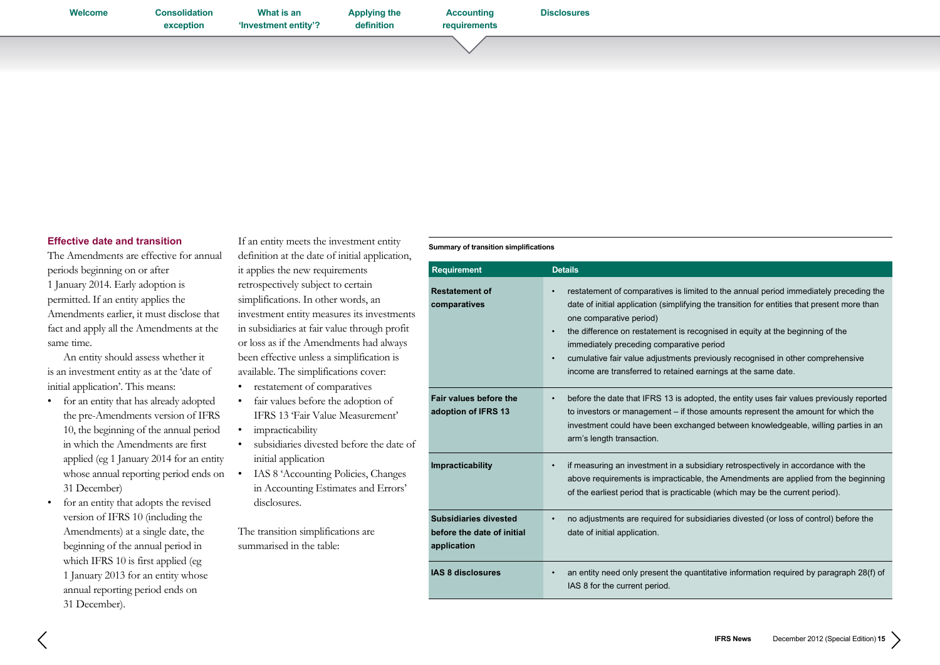**[Welcome](#page-0-0) [Consolidation](#page-1-0)  exception What is an ['Investment entity'?](#page-3-0) [Applying the](#page-4-0)  definition Accounting [requirements](#page-9-0) [Disclosures](#page-16-0)**

## **Effective date and transition**

The Amendments are effective for annual periods beginning on or after 1 January 2014. Early adoption is permitted. If an entity applies the Amendments earlier, it must disclose that fact and apply all the Amendments at the same time.

An entity should assess whether it is an investment entity as at the 'date of initial application'. This means:

- • for an entity that has already adopted the pre-Amendments version of IFRS 10, the beginning of the annual period in which the Amendments are first applied (eg 1 January 2014 for an entity whose annual reporting period ends on 31 December)
- • for an entity that adopts the revised version of IFRS 10 (including the Amendments) at a single date, the beginning of the annual period in which IFRS 10 is first applied (eg 1 January 2013 for an entity whose annual reporting period ends on 31 December).

If an entity meets the investment entity definition at the date of initial application, it applies the new requirements retrospectively subject to certain simplifications. In other words, an investment entity measures its investment in subsidiaries at fair value through profit or loss as if the Amendments had always been effective unless a simplification is

- available. The simplifications cover: • restatement of comparatives
- 
- • fair values before the adoption of IFRS 13 'Fair Value Measurement'
- impracticability
- subsidiaries divested before the date initial application
- IAS 8 'Accounting Policies, Changes in Accounting Estimates and Errors' disclosures.

The transition simplifications are summarised in the table:

#### **Summary of transition simplifications**

| <b>Requirement</b>                                                        | <b>Details</b>                                                                                                                                                                                                                                                                                                                                                                                                                                                                                                                         |
|---------------------------------------------------------------------------|----------------------------------------------------------------------------------------------------------------------------------------------------------------------------------------------------------------------------------------------------------------------------------------------------------------------------------------------------------------------------------------------------------------------------------------------------------------------------------------------------------------------------------------|
| <b>Restatement of</b><br>comparatives<br>ts                               | restatement of comparatives is limited to the annual period immediately preceding the<br>$\bullet$<br>date of initial application (simplifying the transition for entities that present more than<br>one comparative period)<br>the difference on restatement is recognised in equity at the beginning of the<br>$\bullet$<br>immediately preceding comparative period<br>cumulative fair value adjustments previously recognised in other comprehensive<br>$\bullet$<br>income are transferred to retained earnings at the same date. |
| Fair values before the<br>adoption of IFRS 13<br>эf                       | before the date that IFRS 13 is adopted, the entity uses fair values previously reported<br>$\bullet$<br>to investors or management – if those amounts represent the amount for which the<br>investment could have been exchanged between knowledgeable, willing parties in an<br>arm's length transaction.                                                                                                                                                                                                                            |
| Impracticability                                                          | if measuring an investment in a subsidiary retrospectively in accordance with the<br>$\bullet$<br>above requirements is impracticable, the Amendments are applied from the beginning<br>of the earliest period that is practicable (which may be the current period).                                                                                                                                                                                                                                                                  |
| <b>Subsidiaries divested</b><br>before the date of initial<br>application | no adjustments are required for subsidiaries divested (or loss of control) before the<br>$\bullet$<br>date of initial application.                                                                                                                                                                                                                                                                                                                                                                                                     |
| IAS 8 disclosures                                                         | an entity need only present the quantitative information required by paragraph 28(f) of<br>$\bullet$<br>IAS 8 for the current period.                                                                                                                                                                                                                                                                                                                                                                                                  |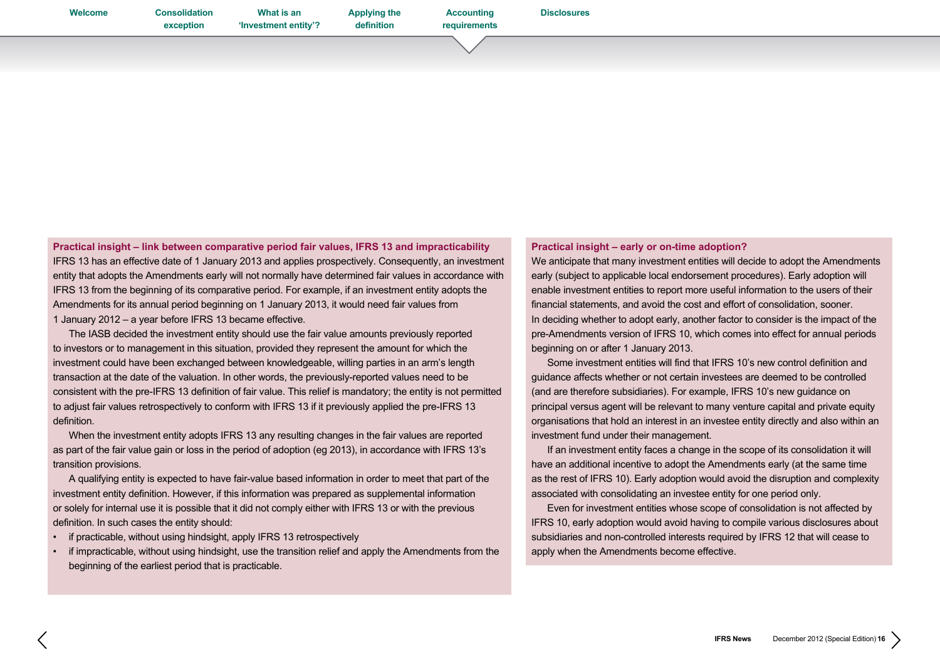**[Welcome](#page-0-0) [Consolidation](#page-1-0)** 

**exception What is an ['Investment entity'?](#page-3-0)** **[Applying the](#page-4-0)  definition**

**Accounting [requirements](#page-9-0)**

**[Disclosures](#page-16-0)**

**Practical insight – link between comparative period fair values, IFRS 13 and impracticability**  IFRS 13 has an effective date of 1 January 2013 and applies prospectively. Consequently, an investment entity that adopts the Amendments early will not normally have determined fair values in accordance with IFRS 13 from the beginning of its comparative period. For example, if an investment entity adopts the Amendments for its annual period beginning on 1 January 2013, it would need fair values from 1 January 2012 – a year before IFRS 13 became effective.

 The IASB decided the investment entity should use the fair value amounts previously reported to investors or to management in this situation, provided they represent the amount for which the investment could have been exchanged between knowledgeable, willing parties in an arm's length transaction at the date of the valuation. In other words, the previously-reported values need to be consistent with the pre-IFRS 13 definition of fair value. This relief is mandatory; the entity is not permitted to adjust fair values retrospectively to conform with IFRS 13 if it previously applied the pre-IFRS 13 definition.

 When the investment entity adopts IFRS 13 any resulting changes in the fair values are reported as part of the fair value gain or loss in the period of adoption (eg 2013), in accordance with IFRS 13's transition provisions.

 A qualifying entity is expected to have fair-value based information in order to meet that part of the investment entity definition. However, if this information was prepared as supplemental information or solely for internal use it is possible that it did not comply either with IFRS 13 or with the previous definition. In such cases the entity should:

- if practicable, without using hindsight, apply IFRS 13 retrospectively
- if impracticable, without using hindsight, use the transition relief and apply the Amendments from the beginning of the earliest period that is practicable.

## **Practical insight – early or on-time adoption?**

We anticipate that many investment entities will decide to adopt the Amendments early (subject to applicable local endorsement procedures). Early adoption will enable investment entities to report more useful information to the users of their financial statements, and avoid the cost and effort of consolidation, sooner. In deciding whether to adopt early, another factor to consider is the impact of the pre-Amendments version of IFRS 10, which comes into effect for annual periods beginning on or after 1 January 2013.

 Some investment entities will find that IFRS 10's new control definition and guidance affects whether or not certain investees are deemed to be controlled (and are therefore subsidiaries). For example, IFRS 10's new guidance on principal versus agent will be relevant to many venture capital and private equity organisations that hold an interest in an investee entity directly and also within an investment fund under their management.

 If an investment entity faces a change in the scope of its consolidation it will have an additional incentive to adopt the Amendments early (at the same time as the rest of IFRS 10). Early adoption would avoid the disruption and complexity associated with consolidating an investee entity for one period only.

 Even for investment entities whose scope of consolidation is not affected by IFRS 10, early adoption would avoid having to compile various disclosures about subsidiaries and non-controlled interests required by IFRS 12 that will cease to apply when the Amendments become effective.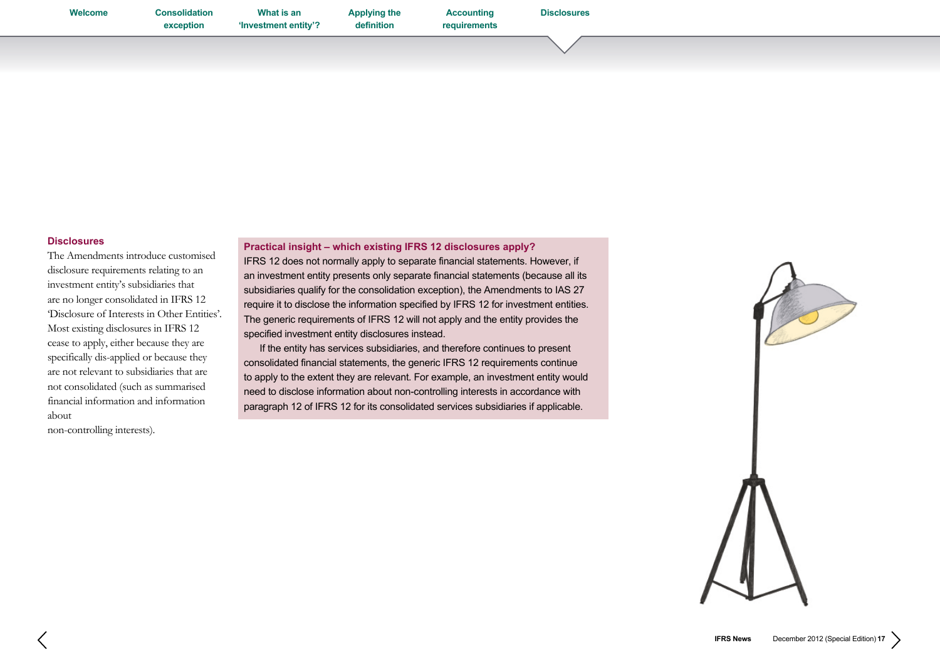<span id="page-16-0"></span>**What is an ['Investment entity'?](#page-3-0)** **[Applying the](#page-4-0)  definition**

**Accounting [requirements](#page-9-0)**

## **Disclosures**

The Amendments introduce customised disclosure requirements relating to an investment entity's subsidiaries that are no longer consolidated in IFRS 12 'Disclosure of Interests in Other Entities'. Most existing disclosures in IFRS 12 cease to apply, either because they are specifically dis-applied or because they are not relevant to subsidiaries that are not consolidated (such as summarised financial information and information about

non-controlling interests).

**Practical insight – which existing IFRS 12 disclosures apply?** 

IFRS 12 does not normally apply to separate financial statements. However, if an investment entity presents only separate financial statements (because all its subsidiaries qualify for the consolidation exception), the Amendments to IAS 27 require it to disclose the information specified by IFRS 12 for investment entities. The generic requirements of IFRS 12 will not apply and the entity provides the specified investment entity disclosures instead.

 If the entity has services subsidiaries, and therefore continues to present consolidated financial statements, the generic IFRS 12 requirements continue to apply to the extent they are relevant. For example, an investment entity would need to disclose information about non-controlling interests in accordance with paragraph 12 of IFRS 12 for its consolidated services subsidiaries if applicable.

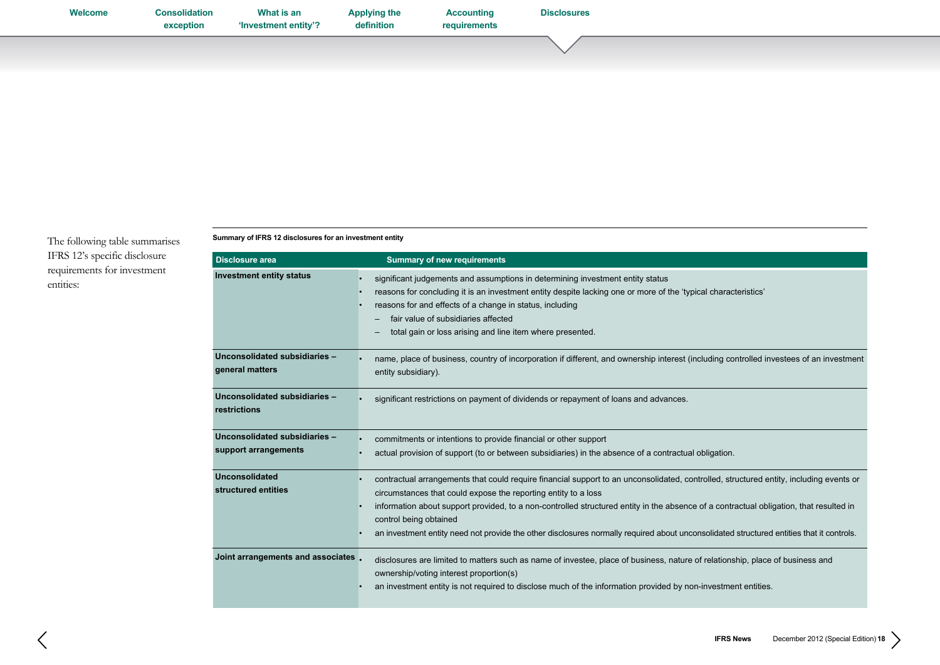| Welcome | <b>Consolidation</b><br>exception | What is an<br>'Investment entity'? | <b>Applying the</b><br>definition | <b>Accounting</b><br>requirements | <b>Disclosures</b> |  |
|---------|-----------------------------------|------------------------------------|-----------------------------------|-----------------------------------|--------------------|--|
|         |                                   |                                    |                                   |                                   |                    |  |

The following table summarises IFRS 12's specific disclosure requirements for investment entities:

**Summary of IFRS 12 disclosures for an investment entity** 

| <b>Disclosure area</b>                                | <b>Summary of new requirements</b>                                                                                                                                                                                                                                                                                                                                                                                                                                                                                       |
|-------------------------------------------------------|--------------------------------------------------------------------------------------------------------------------------------------------------------------------------------------------------------------------------------------------------------------------------------------------------------------------------------------------------------------------------------------------------------------------------------------------------------------------------------------------------------------------------|
| <b>Investment entity status</b>                       | significant judgements and assumptions in determining investment entity status<br>reasons for concluding it is an investment entity despite lacking one or more of the 'typical characteristics'<br>reasons for and effects of a change in status, including<br>fair value of subsidiaries affected<br>total gain or loss arising and line item where presented.                                                                                                                                                         |
| Unconsolidated subsidiaries -<br>general matters      | name, place of business, country of incorporation if different, and ownership interest (including controlled investees of an investment<br>entity subsidiary).                                                                                                                                                                                                                                                                                                                                                           |
| Unconsolidated subsidiaries -<br>restrictions         | significant restrictions on payment of dividends or repayment of loans and advances.                                                                                                                                                                                                                                                                                                                                                                                                                                     |
| Unconsolidated subsidiaries -<br>support arrangements | commitments or intentions to provide financial or other support<br>actual provision of support (to or between subsidiaries) in the absence of a contractual obligation.                                                                                                                                                                                                                                                                                                                                                  |
| <b>Unconsolidated</b><br>structured entities          | contractual arrangements that could require financial support to an unconsolidated, controlled, structured entity, including events or<br>circumstances that could expose the reporting entity to a loss<br>information about support provided, to a non-controlled structured entity in the absence of a contractual obligation, that resulted in<br>control being obtained<br>an investment entity need not provide the other disclosures normally required about unconsolidated structured entities that it controls. |
| Joint arrangements and associates,                    | disclosures are limited to matters such as name of investee, place of business, nature of relationship, place of business and<br>ownership/voting interest proportion(s)<br>an investment entity is not required to disclose much of the information provided by non-investment entities.                                                                                                                                                                                                                                |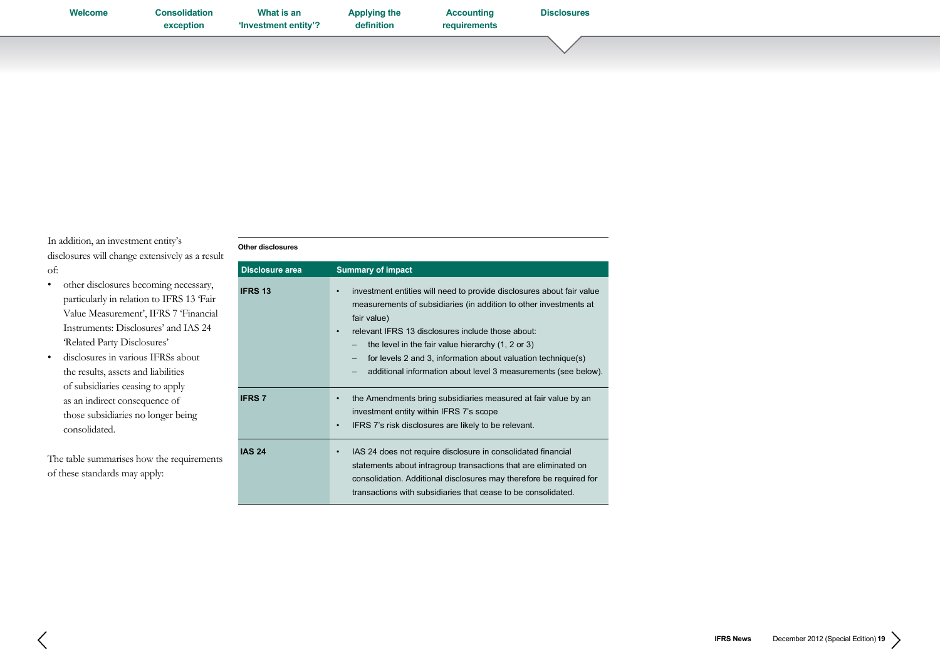| Welcome | <b>Consolidation</b><br>exception | What is an<br>'Investment entity'? | <b>Applying the</b><br>definition | <b>Accounting</b><br>requirements | <b>Disclosures</b> |  |
|---------|-----------------------------------|------------------------------------|-----------------------------------|-----------------------------------|--------------------|--|
|         |                                   |                                    |                                   |                                   |                    |  |

In addition, an investment entity's disclosures will change extensively as a result of:

- • other disclosures becoming necessary, particularly in relation to IFRS 13 'Fair Value Measurement', IFRS 7 'Financial Instruments: Disclosures' and IAS 24 'Related Party Disclosures'
- • disclosures in various IFRSs about the results, assets and liabilities of subsidiaries ceasing to apply as an indirect consequence of those subsidiaries no longer being consolidated.

The table summarises how the requirements of these standards may apply:

## **Other disclosures**

| <b>Disclosure area</b> | <b>Summary of impact</b>                                                                                                                                                                                                                                                                                                                                                                                                |
|------------------------|-------------------------------------------------------------------------------------------------------------------------------------------------------------------------------------------------------------------------------------------------------------------------------------------------------------------------------------------------------------------------------------------------------------------------|
| <b>IFRS 13</b>         | investment entities will need to provide disclosures about fair value<br>$\bullet$<br>measurements of subsidiaries (in addition to other investments at<br>fair value)<br>relevant IFRS 13 disclosures include those about:<br>٠<br>the level in the fair value hierarchy (1, 2 or 3)<br>for levels 2 and 3, information about valuation technique(s)<br>additional information about level 3 measurements (see below). |
| <b>IFRS 7</b>          | the Amendments bring subsidiaries measured at fair value by an<br>$\bullet$<br>investment entity within IFRS 7's scope<br>IFRS 7's risk disclosures are likely to be relevant.<br>$\bullet$                                                                                                                                                                                                                             |
| <b>IAS 24</b>          | IAS 24 does not require disclosure in consolidated financial<br>٠<br>statements about intragroup transactions that are eliminated on<br>consolidation. Additional disclosures may therefore be required for<br>transactions with subsidiaries that cease to be consolidated.                                                                                                                                            |